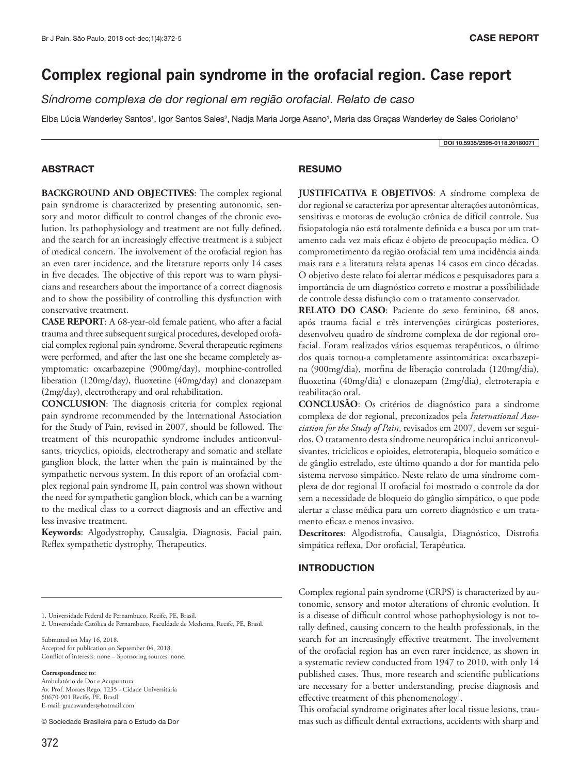DOI 10.5935/2595-0118.20180071

# **Complex regional pain syndrome in the orofacial region. Case report**

*Síndrome complexa de dor regional em região orofacial. Relato de caso*

Elba Lúcia Wanderley Santos<sup>1</sup>, Igor Santos Sales<sup>2</sup>, Nadja Maria Jorge Asano<sup>1</sup>, Maria das Graças Wanderley de Sales Coriolano<sup>1</sup>

ABSTRACT

**BACKGROUND AND OBJECTIVES**: The complex regional pain syndrome is characterized by presenting autonomic, sensory and motor difficult to control changes of the chronic evolution. Its pathophysiology and treatment are not fully defined, and the search for an increasingly effective treatment is a subject of medical concern. The involvement of the orofacial region has an even rarer incidence, and the literature reports only 14 cases in five decades. The objective of this report was to warn physicians and researchers about the importance of a correct diagnosis and to show the possibility of controlling this dysfunction with conservative treatment.

**CASE REPORT**: A 68-year-old female patient, who after a facial trauma and three subsequent surgical procedures, developed orofacial complex regional pain syndrome. Several therapeutic regimens were performed, and after the last one she became completely asymptomatic: oxcarbazepine (900mg/day), morphine-controlled liberation (120mg/day), fluoxetine (40mg/day) and clonazepam (2mg/day), electrotherapy and oral rehabilitation.

**CONCLUSION**: The diagnosis criteria for complex regional pain syndrome recommended by the International Association for the Study of Pain, revised in 2007, should be followed. The treatment of this neuropathic syndrome includes anticonvulsants, tricyclics, opioids, electrotherapy and somatic and stellate ganglion block, the latter when the pain is maintained by the sympathetic nervous system. In this report of an orofacial complex regional pain syndrome II, pain control was shown without the need for sympathetic ganglion block, which can be a warning to the medical class to a correct diagnosis and an effective and less invasive treatment.

**Keywords**: Algodystrophy, Causalgia, Diagnosis, Facial pain, Reflex sympathetic dystrophy, Therapeutics.

1. Universidade Federal de Pernambuco, Recife, PE, Brasil.

2. Universidade Católica de Pernambuco, Faculdade de Medicina, Recife, PE, Brasil.

Submitted on May 16, 2018. Accepted for publication on September 04, 2018. Conflict of interests: none – Sponsoring sources: none.

**Correspondence to**:

Ambulatório de Dor e Acupuntura Av. Prof. Moraes Rego, 1235 - Cidade Universitária 50670-901 Recife, PE, Brasil. E-mail: gracawander@hotmail.com

© Sociedade Brasileira para o Estudo da Dor

# RESUMO

**JUSTIFICATIVA E OBJETIVOS**: A síndrome complexa de dor regional se caracteriza por apresentar alterações autonômicas, sensitivas e motoras de evolução crônica de difícil controle. Sua fisiopatologia não está totalmente definida e a busca por um tratamento cada vez mais eficaz é objeto de preocupação médica. O comprometimento da região orofacial tem uma incidência ainda mais rara e a literatura relata apenas 14 casos em cinco décadas. O objetivo deste relato foi alertar médicos e pesquisadores para a importância de um diagnóstico correto e mostrar a possibilidade de controle dessa disfunção com o tratamento conservador.

**RELATO DO CASO**: Paciente do sexo feminino, 68 anos, após trauma facial e três intervenções cirúrgicas posteriores, desenvolveu quadro de síndrome complexa de dor regional orofacial. Foram realizados vários esquemas terapêuticos, o último dos quais tornou-a completamente assintomática: oxcarbazepina (900mg/dia), morfina de liberação controlada (120mg/dia), fluoxetina (40mg/dia) e clonazepam (2mg/dia), eletroterapia e reabilitação oral.

**CONCLUSÃO**: Os critérios de diagnóstico para a síndrome complexa de dor regional, preconizados pela *International Association for the Study of Pain*, revisados em 2007, devem ser seguidos. O tratamento desta síndrome neuropática inclui anticonvulsivantes, tricíclicos e opioides, eletroterapia, bloqueio somático e de gânglio estrelado, este último quando a dor for mantida pelo sistema nervoso simpático. Neste relato de uma síndrome complexa de dor regional II orofacial foi mostrado o controle da dor sem a necessidade de bloqueio do gânglio simpático, o que pode alertar a classe médica para um correto diagnóstico e um tratamento eficaz e menos invasivo.

**Descritores**: Algodistrofia, Causalgia, Diagnóstico, Distrofia simpática reflexa, Dor orofacial, Terapêutica.

#### INTRODUCTION

Complex regional pain syndrome (CRPS) is characterized by autonomic, sensory and motor alterations of chronic evolution. It is a disease of difficult control whose pathophysiology is not totally defined, causing concern to the health professionals, in the search for an increasingly effective treatment. The involvement of the orofacial region has an even rarer incidence, as shown in a systematic review conducted from 1947 to 2010, with only 14 published cases. Thus, more research and scientific publications are necessary for a better understanding, precise diagnosis and effective treatment of this phenomenology<sup>1</sup>.

This orofacial syndrome originates after local tissue lesions, traumas such as difficult dental extractions, accidents with sharp and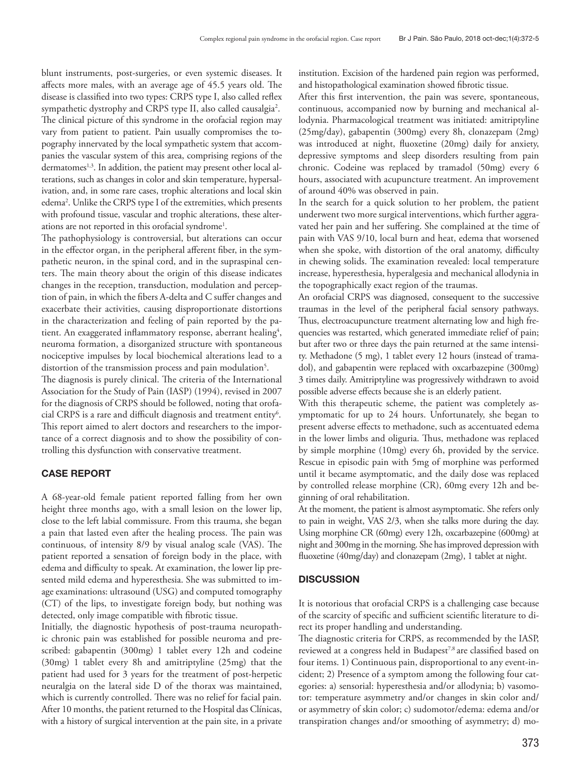blunt instruments, post-surgeries, or even systemic diseases. It affects more males, with an average age of 45.5 years old. The disease is classified into two types: CRPS type I, also called reflex sympathetic dystrophy and CRPS type II, also called causalgia<sup>2</sup>. The clinical picture of this syndrome in the orofacial region may vary from patient to patient. Pain usually compromises the topography innervated by the local sympathetic system that accompanies the vascular system of this area, comprising regions of the dermatomes<sup>1,3</sup>. In addition, the patient may present other local alterations, such as changes in color and skin temperature, hypersalivation, and, in some rare cases, trophic alterations and local skin edema2 . Unlike the CRPS type I of the extremities, which presents with profound tissue, vascular and trophic alterations, these alterations are not reported in this orofacial syndrome<sup>1</sup>.

The pathophysiology is controversial, but alterations can occur in the effector organ, in the peripheral afferent fiber, in the sympathetic neuron, in the spinal cord, and in the supraspinal centers. The main theory about the origin of this disease indicates changes in the reception, transduction, modulation and perception of pain, in which the fibers A-delta and C suffer changes and exacerbate their activities, causing disproportionate distortions in the characterization and feeling of pain reported by the patient. An exaggerated inflammatory response, aberrant healing<sup>4</sup>, neuroma formation, a disorganized structure with spontaneous nociceptive impulses by local biochemical alterations lead to a distortion of the transmission process and pain modulation<sup>5</sup>.

The diagnosis is purely clinical. The criteria of the International Association for the Study of Pain (IASP) (1994), revised in 2007 for the diagnosis of CRPS should be followed, noting that orofacial CRPS is a rare and difficult diagnosis and treatment entity<sup>6</sup>. This report aimed to alert doctors and researchers to the importance of a correct diagnosis and to show the possibility of controlling this dysfunction with conservative treatment.

### CASE REPORT

A 68-year-old female patient reported falling from her own height three months ago, with a small lesion on the lower lip, close to the left labial commissure. From this trauma, she began a pain that lasted even after the healing process. The pain was continuous, of intensity 8/9 by visual analog scale (VAS). The patient reported a sensation of foreign body in the place, with edema and difficulty to speak. At examination, the lower lip presented mild edema and hyperesthesia. She was submitted to image examinations: ultrasound (USG) and computed tomography (CT) of the lips, to investigate foreign body, but nothing was detected, only image compatible with fibrotic tissue.

Initially, the diagnostic hypothesis of post-trauma neuropathic chronic pain was established for possible neuroma and prescribed: gabapentin (300mg) 1 tablet every 12h and codeine (30mg) 1 tablet every 8h and amitriptyline (25mg) that the patient had used for 3 years for the treatment of post-herpetic neuralgia on the lateral side D of the thorax was maintained, which is currently controlled. There was no relief for facial pain. After 10 months, the patient returned to the Hospital das Clínicas, with a history of surgical intervention at the pain site, in a private

institution. Excision of the hardened pain region was performed, and histopathological examination showed fibrotic tissue.

After this first intervention, the pain was severe, spontaneous, continuous, accompanied now by burning and mechanical allodynia. Pharmacological treatment was initiated: amitriptyline (25mg/day), gabapentin (300mg) every 8h, clonazepam (2mg) was introduced at night, fluoxetine (20mg) daily for anxiety, depressive symptoms and sleep disorders resulting from pain chronic. Codeine was replaced by tramadol (50mg) every 6 hours, associated with acupuncture treatment. An improvement of around 40% was observed in pain.

In the search for a quick solution to her problem, the patient underwent two more surgical interventions, which further aggravated her pain and her suffering. She complained at the time of pain with VAS 9/10, local burn and heat, edema that worsened when she spoke, with distortion of the oral anatomy, difficulty in chewing solids. The examination revealed: local temperature increase, hyperesthesia, hyperalgesia and mechanical allodynia in the topographically exact region of the traumas.

An orofacial CRPS was diagnosed, consequent to the successive traumas in the level of the peripheral facial sensory pathways. Thus, electroacupuncture treatment alternating low and high frequencies was restarted, which generated immediate relief of pain; but after two or three days the pain returned at the same intensity. Methadone (5 mg), 1 tablet every 12 hours (instead of tramadol), and gabapentin were replaced with oxcarbazepine (300mg) 3 times daily. Amitriptyline was progressively withdrawn to avoid possible adverse effects because she is an elderly patient.

With this therapeutic scheme, the patient was completely asymptomatic for up to 24 hours. Unfortunately, she began to present adverse effects to methadone, such as accentuated edema in the lower limbs and oliguria. Thus, methadone was replaced by simple morphine (10mg) every 6h, provided by the service. Rescue in episodic pain with 5mg of morphine was performed until it became asymptomatic, and the daily dose was replaced by controlled release morphine (CR), 60mg every 12h and beginning of oral rehabilitation.

At the moment, the patient is almost asymptomatic. She refers only to pain in weight, VAS 2/3, when she talks more during the day. Using morphine CR (60mg) every 12h, oxcarbazepine (600mg) at night and 300mg in the morning. She has improved depression with fluoxetine (40mg/day) and clonazepam (2mg), 1 tablet at night.

## **DISCUSSION**

It is notorious that orofacial CRPS is a challenging case because of the scarcity of specific and sufficient scientific literature to direct its proper handling and understanding.

The diagnostic criteria for CRPS, as recommended by the IASP, reviewed at a congress held in Budapest<sup>7,8</sup> are classified based on four items. 1) Continuous pain, disproportional to any event-incident; 2) Presence of a symptom among the following four categories: a) sensorial: hyperesthesia and/or allodynia; b) vasomotor: temperature asymmetry and/or changes in skin color and/ or asymmetry of skin color; c) sudomotor/edema: edema and/or transpiration changes and/or smoothing of asymmetry; d) mo-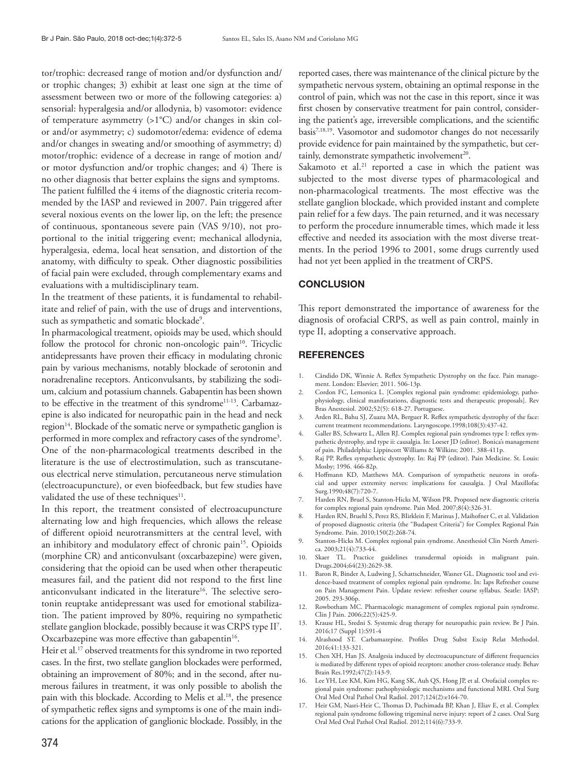tor/trophic: decreased range of motion and/or dysfunction and/ or trophic changes; 3) exhibit at least one sign at the time of assessment between two or more of the following categories: a) sensorial: hyperalgesia and/or allodynia, b) vasomotor: evidence of temperature asymmetry (>1°C) and/or changes in skin color and/or asymmetry; c) sudomotor/edema: evidence of edema and/or changes in sweating and/or smoothing of asymmetry; d) motor/trophic: evidence of a decrease in range of motion and/ or motor dysfunction and/or trophic changes; and 4) There is no other diagnosis that better explains the signs and symptoms. The patient fulfilled the 4 items of the diagnostic criteria recommended by the IASP and reviewed in 2007. Pain triggered after several noxious events on the lower lip, on the left; the presence of continuous, spontaneous severe pain (VAS 9/10), not proportional to the initial triggering event; mechanical allodynia, hyperalgesia, edema, local heat sensation, and distortion of the anatomy, with difficulty to speak. Other diagnostic possibilities of facial pain were excluded, through complementary exams and evaluations with a multidisciplinary team.

In the treatment of these patients, it is fundamental to rehabilitate and relief of pain, with the use of drugs and interventions, such as sympathetic and somatic blockade<sup>9</sup>.

In pharmacological treatment, opioids may be used, which should follow the protocol for chronic non-oncologic pain<sup>10</sup>. Tricyclic antidepressants have proven their efficacy in modulating chronic pain by various mechanisms, notably blockade of serotonin and noradrenaline receptors. Anticonvulsants, by stabilizing the sodium, calcium and potassium channels. Gabapentin has been shown to be effective in the treatment of this syndrome<sup>11-13</sup>. Carbamazepine is also indicated for neuropathic pain in the head and neck region<sup>14</sup>. Blockade of the somatic nerve or sympathetic ganglion is performed in more complex and refractory cases of the syndrome3 . One of the non-pharmacological treatments described in the literature is the use of electrostimulation, such as transcutaneous electrical nerve stimulation, percutaneous nerve stimulation (electroacupuncture), or even biofeedback, but few studies have validated the use of these techniques $11$ .

In this report, the treatment consisted of electroacupuncture alternating low and high frequencies, which allows the release of different opioid neurotransmitters at the central level, with an inhibitory and modulatory effect of chronic pain<sup>15</sup>. Opioids (morphine CR) and anticonvulsant (oxcarbazepine) were given, considering that the opioid can be used when other therapeutic measures fail, and the patient did not respond to the first line anticonvulsant indicated in the literature<sup>16</sup>. The selective serotonin reuptake antidepressant was used for emotional stabilization. The patient improved by 80%, requiring no sympathetic stellate ganglion blockade, possibly because it was CRPS type II7 . Oxcarbazepine was more effective than gabapentin<sup>16</sup>.

Heir et al.<sup>17</sup> observed treatments for this syndrome in two reported cases. In the first, two stellate ganglion blockades were performed, obtaining an improvement of 80%; and in the second, after numerous failures in treatment, it was only possible to abolish the pain with this blockade. According to Melis et al.<sup>18</sup>, the presence of sympathetic reflex signs and symptoms is one of the main indications for the application of ganglionic blockade. Possibly, in the

reported cases, there was maintenance of the clinical picture by the sympathetic nervous system, obtaining an optimal response in the control of pain, which was not the case in this report, since it was first chosen by conservative treatment for pain control, considering the patient's age, irreversible complications, and the scientific basis<sup>7,18,19</sup>. Vasomotor and sudomotor changes do not necessarily provide evidence for pain maintained by the sympathetic, but certainly, demonstrate sympathetic involvement<sup>20</sup>.

Sakamoto et al.<sup>21</sup> reported a case in which the patient was subjected to the most diverse types of pharmacological and non-pharmacological treatments. The most effective was the stellate ganglion blockade, which provided instant and complete pain relief for a few days. The pain returned, and it was necessary to perform the procedure innumerable times, which made it less effective and needed its association with the most diverse treatments. In the period 1996 to 2001, some drugs currently used had not yet been applied in the treatment of CRPS.

#### **CONCLUSION**

This report demonstrated the importance of awareness for the diagnosis of orofacial CRPS, as well as pain control, mainly in type II, adopting a conservative approach.

#### **REFERENCES**

- 1. Cândido DK, Winnie A. Reflex Sympathetic Dystrophy on the face. Pain management. London: Elsevier; 2011. 506-13p.
- 2. Cordon FC, Lemonica L. [Complex regional pain syndrome: epidemiology, pathophysiology, clinical manifestations, diagnostic tests and therapeutic proposals]. Rev Bras Anestesiol. 2002;52(5): 618-27. Portuguese.
- 3. Arden RL, Bahu SJ, Zuazu MA, Berguer R. Reflex sympathetic dystrophy of the face: current treatment recommendations. Laryngoscope.1998;108(3):437-42.
- 4. Galler BS, Schwartz L, Allen RJ. Complex regional pain syndromes type I: reflex sympathetic dystrophy, and type ii: causalgia. In: Loeser JD (editor). Bonica's management of pain. Philadelphia: Lippincott Williams & Wilkins; 2001. 388-411p.
- 5. Raj PP. Reflex sympathetic dystrophy. In: Raj PP (editor). Pain Medicine. St. Louis: Mosby; 1996. 466-82p.
- 6. Hoffmann KD, Matthews MA. Comparison of sympathetic neurons in orofacial and upper extremity nerves: implications for causalgia. J Oral Maxillofac Surg.1990;48(7):720-7.
- 7. Harden RN, Bruel S, Stanton-Hicks M, Wilson PR. Proposed new diagnostic criteria for complex regional pain syndrome. Pain Med. 2007;8(4):326-31.
- 8. Harden RN, Bruehl S, Perez RS, BIirklein F, Marinus J, Maihofner C, et al. Validation of proposed diagnostic criteria (the "Budapest Criteria") for Complex Regional Pain Syndrome. Pain. 2010;150(2):268-74.
- 9. Stanton-Hicks M. Complex regional pain syndrome. Anesthesiol Clin North America. 2003;21(4):733-44.
- 10. Skaer TL. Practice guidelines transdermal opioids in malignant pain. Drugs.2004;64(23):2629-38.
- 11. Baron R, Binder A, Ludwing J, Schattschneider, Wasner GL. Diagnostic tool and evidence-based treatment of complex regional pain syndrome. In: Iaps Refresher course on Pain Management Pain. Update review: refresher course syllabus. Seatle: IASP; 2005. 293-306p.
- 12. Rowbotham MC. Pharmacologic management of complex regional pain syndrome. Clin J Pain. 2006;22(5):425-9.
- 13. Krause HL, Sredni S. Systemic drug therapy for neuropathic pain review. Br J Pain. 2016;17 (Suppl 1):S91-4
- 14. Alrashood ST. Carbamazepine. Profiles Drug Subst Excip Relat Methodol. 2016;41:133-321.
- 15. Chen XH, Han JS. Analgesia induced by electroacupuncture of different frequencies is mediated by different types of opioid receptors: another cross-tolerance study. Behav Brain Res.1992;47(2):143-9.
- 16. Lee YH, Lee KM, Kim HG, Kang SK, Auh QS, Hong JP, et al. Orofacial complex regional pain syndrome: pathophysiologic mechanisms and functional MRI. Oral Surg Oral Med Oral Pathol Oral Radiol. 2017;124(2):e164-70.
- 17. Heir GM, Nasri-Heir C, Thomas D, Puchimada BP, Khan J, Eliav E, et al. Complex regional pain syndrome following trigeminal nerve injury: report of 2 cases. Oral Surg Oral Med Oral Pathol Oral Radiol. 2012;114(6):733-9.